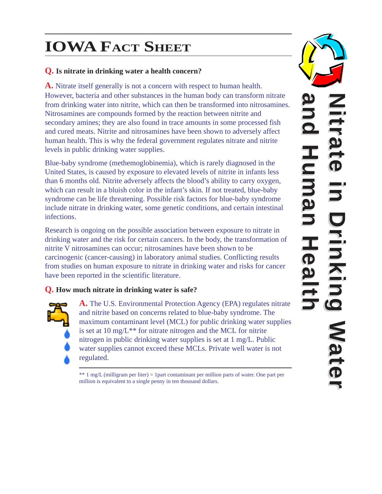# **IOWA FACT SHEET**

## **Q. Is nitrate in drinking water a health concern?**

**A.** Nitrate itself generally is not a concern with respect to human health. However, bacteria and other substances in the human body can transform nitrate from drinking water into nitrite, which can then be transformed into nitrosamines. Nitrosamines are compounds formed by the reaction between nitrite and secondary amines; they are also found in trace amounts in some processed fish and cured meats. Nitrite and nitrosamines have been shown to adversely affect human health. This is why the federal government regulates nitrate and nitrite levels in public drinking water supplies.

Blue-baby syndrome (methemoglobinemia), which is rarely diagnosed in the United States, is caused by exposure to elevated levels of nitrite in infants less than 6 months old. Nitrite adversely affects the blood's ability to carry oxygen, which can result in a bluish color in the infant's skin. If not treated, blue-baby syndrome can be life threatening. Possible risk factors for blue-baby syndrome include nitrate in drinking water, some genetic conditions, and certain intestinal infections.

Research is ongoing on the possible association between exposure to nitrate in drinking water and the risk for certain cancers. In the body, the transformation of nitrite V nitrosamines can occur; nitrosamines have been shown to be carcinogenic (cancer-causing) in laboratory animal studies. Conflicting results from studies on human exposure to nitrate in drinking water and risks for cancer have been reported in the scientific literature.

## **Q. How much nitrate in drinking water is safe?**



**A.** The U.S. Environmental Protection Agency (EPA) regulates nitrate and nitrite based on concerns related to blue-baby syndrome. The maximum contaminant level (MCL) for public drinking water supplies is set at 10 mg/L\*\* for nitrate nitrogen and the MCL for nitrite nitrogen in public drinking water supplies is set at 1 mg/L. Public water supplies cannot exceed these MCLs. Private well water is not regulated.

\*\* 1 mg/L (milligram per liter) = 1part contaminant per million parts of water. One part per million is equivalent to a single penny in ten thousand dollars.